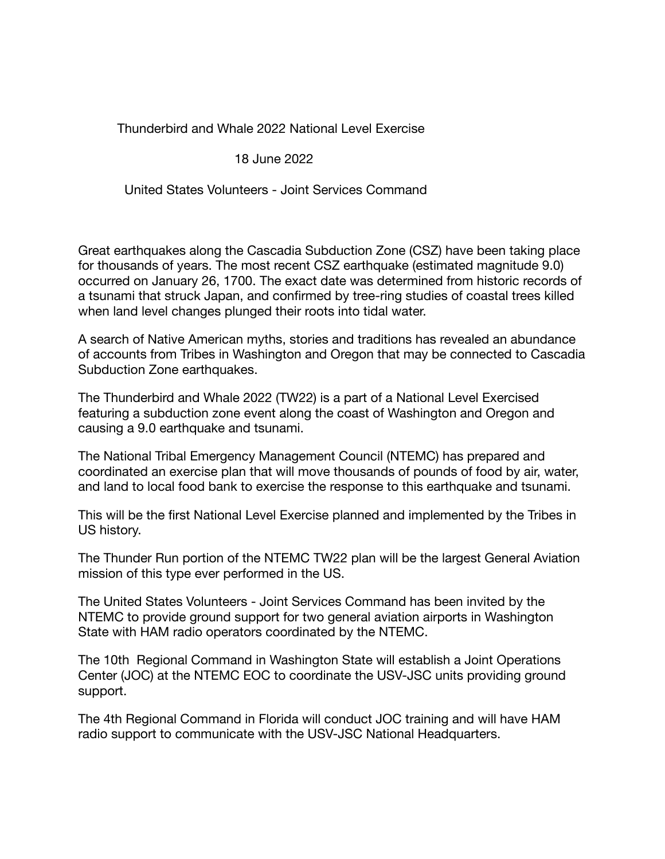Thunderbird and Whale 2022 National Level Exercise

## 18 June 2022

United States Volunteers - Joint Services Command

Great earthquakes along the Cascadia Subduction Zone (CSZ) have been taking place for thousands of years. The most recent CSZ earthquake (estimated magnitude 9.0) occurred on January 26, 1700. The exact date was determined from historic records of a tsunami that struck Japan, and confirmed by tree-ring studies of coastal trees killed when land level changes plunged their roots into tidal water.

A search of Native American myths, stories and traditions has revealed an abundance of accounts from Tribes in Washington and Oregon that may be connected to Cascadia Subduction Zone earthquakes.

The Thunderbird and Whale 2022 (TW22) is a part of a National Level Exercised featuring a subduction zone event along the coast of Washington and Oregon and causing a 9.0 earthquake and tsunami.

The National Tribal Emergency Management Council (NTEMC) has prepared and coordinated an exercise plan that will move thousands of pounds of food by air, water, and land to local food bank to exercise the response to this earthquake and tsunami.

This will be the first National Level Exercise planned and implemented by the Tribes in US history.

The Thunder Run portion of the NTEMC TW22 plan will be the largest General Aviation mission of this type ever performed in the US.

The United States Volunteers - Joint Services Command has been invited by the NTEMC to provide ground support for two general aviation airports in Washington State with HAM radio operators coordinated by the NTEMC.

The 10th Regional Command in Washington State will establish a Joint Operations Center (JOC) at the NTEMC EOC to coordinate the USV-JSC units providing ground support.

The 4th Regional Command in Florida will conduct JOC training and will have HAM radio support to communicate with the USV-JSC National Headquarters.